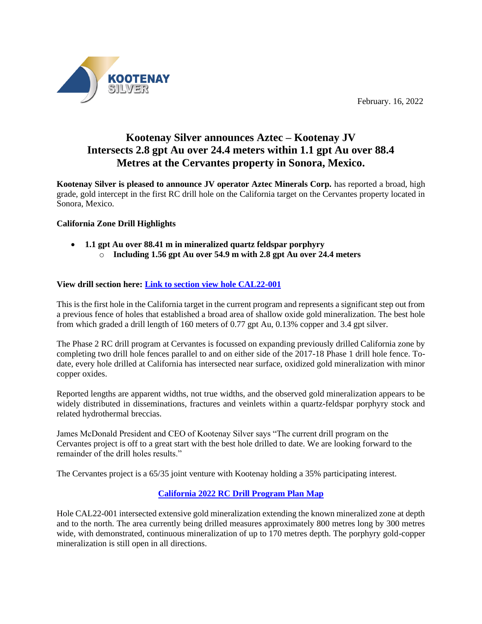February. 16, 2022



# **Kootenay Silver announces Aztec – Kootenay JV Intersects 2.8 gpt Au over 24.4 meters within 1.1 gpt Au over 88.4 Metres at the Cervantes property in Sonora, Mexico.**

**Kootenay Silver is pleased to announce JV operator Aztec Minerals Corp.** has reported a broad, high grade, gold intercept in the first RC drill hole on the California target on the Cervantes property located in Sonora, Mexico.

## **California Zone Drill Highlights**

• **1.1 gpt Au over 88.41 m in mineralized quartz feldspar porphyry** o **Including 1.56 gpt Au over 54.9 m with 2.8 gpt Au over 24.4 meters**

## **View drill section here: [Link to section view hole CAL22-001](https://www.aztecminerals.com/_resources/news/CER22-001.jpg)**

This is the first hole in the California target in the current program and represents a significant step out from a previous fence of holes that established a broad area of shallow oxide gold mineralization. The best hole from which graded a drill length of 160 meters of 0.77 gpt Au, 0.13% copper and 3.4 gpt silver.

The Phase 2 RC drill program at Cervantes is focussed on expanding previously drilled California zone by completing two drill hole fences parallel to and on either side of the 2017-18 Phase 1 drill hole fence. Todate, every hole drilled at California has intersected near surface, oxidized gold mineralization with minor copper oxides.

Reported lengths are apparent widths, not true widths, and the observed gold mineralization appears to be widely distributed in disseminations, fractures and veinlets within a quartz-feldspar porphyry stock and related hydrothermal breccias.

James McDonald President and CEO of Kootenay Silver says "The current drill program on the Cervantes project is off to a great start with the best hole drilled to date. We are looking forward to the remainder of the drill holes results."

The Cervantes project is a 65/35 joint venture with Kootenay holding a 35% participating interest.

# **[California 2022 RC Drill Program Plan Map](https://www.aztecminerals.com/_resources/news/MAD-CER-DRILLING-FINAL3.jpg)**

Hole CAL22-001 intersected extensive gold mineralization extending the known mineralized zone at depth and to the north. The area currently being drilled measures approximately 800 metres long by 300 metres wide, with demonstrated, continuous mineralization of up to 170 metres depth. The porphyry gold-copper mineralization is still open in all directions.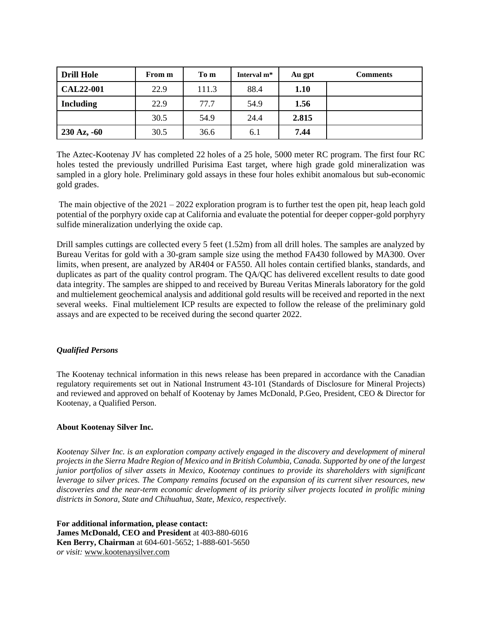| <b>Drill Hole</b>        | From m | To m  | Interval m <sup>*</sup> | Au gpt | <b>Comments</b> |
|--------------------------|--------|-------|-------------------------|--------|-----------------|
| <b>CAL22-001</b>         | 22.9   | 111.3 | 88.4                    | 1.10   |                 |
| <b>Including</b>         | 22.9   | 77.7  | 54.9                    | 1.56   |                 |
|                          | 30.5   | 54.9  | 24.4                    | 2.815  |                 |
| $230 \text{ Az}$ , $-60$ | 30.5   | 36.6  | 6.1                     | 7.44   |                 |

The Aztec-Kootenay JV has completed 22 holes of a 25 hole, 5000 meter RC program. The first four RC holes tested the previously undrilled Purisima East target, where high grade gold mineralization was sampled in a glory hole. Preliminary gold assays in these four holes exhibit anomalous but sub-economic gold grades.

The main objective of the 2021 – 2022 exploration program is to further test the open pit, heap leach gold potential of the porphyry oxide cap at California and evaluate the potential for deeper copper-gold porphyry sulfide mineralization underlying the oxide cap.

Drill samples cuttings are collected every 5 feet (1.52m) from all drill holes. The samples are analyzed by Bureau Veritas for gold with a 30-gram sample size using the method FA430 followed by MA300. Over limits, when present, are analyzed by AR404 or FA550. All holes contain certified blanks, standards, and duplicates as part of the quality control program. The QA/QC has delivered excellent results to date good data integrity. The samples are shipped to and received by Bureau Veritas Minerals laboratory for the gold and multielement geochemical analysis and additional gold results will be received and reported in the next several weeks. Final multielement ICP results are expected to follow the release of the preliminary gold assays and are expected to be received during the second quarter 2022.

### *Qualified Persons*

The Kootenay technical information in this news release has been prepared in accordance with the Canadian regulatory requirements set out in National Instrument 43-101 (Standards of Disclosure for Mineral Projects) and reviewed and approved on behalf of Kootenay by James McDonald, P.Geo, President, CEO & Director for Kootenay, a Qualified Person.

### **About Kootenay Silver Inc.**

*Kootenay Silver Inc. is an exploration company actively engaged in the discovery and development of mineral projects in the Sierra Madre Region of Mexico and in British Columbia, Canada. Supported by one of the largest junior portfolios of silver assets in Mexico, Kootenay continues to provide its shareholders with significant leverage to silver prices. The Company remains focused on the expansion of its current silver resources, new discoveries and the near-term economic development of its priority silver projects located in prolific mining districts in Sonora, State and Chihuahua, State, Mexico, respectively.*

**For additional information, please contact: James McDonald, CEO and President** at 403-880-6016 **Ken Berry, Chairman** at 604-601-5652; 1-888-601-5650 *or visit:* [www.kootenaysilver.com](http://www.kootenaysilver.com/)